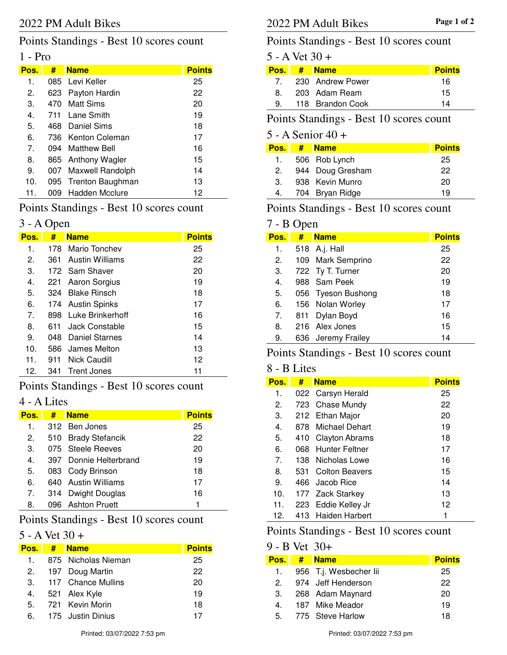## Points Standings - Best 10 scores count

### 1 - Pro

| Pos.           | #    | <b>Name</b>          | <b>Points</b> |
|----------------|------|----------------------|---------------|
| 1.             |      | 085 Levi Keller      | 25            |
| 2.             |      | 623 Payton Hardin    | 22            |
| 3.             |      | 470 Matt Sims        | 20            |
| 4.             | 711  | Lane Smith           | 19            |
| 5.             |      | 468 Daniel Sims      | 18            |
| 6.             |      | 736 Kenton Coleman   | 17            |
| 7 <sub>1</sub> |      | 094 Matthew Bell     | 16            |
| 8.             |      | 865 Anthony Wagler   | 15            |
| 9.             | 007  | Maxwell Randolph     | 14            |
| 10.            |      | 095 Trenton Baughman | 13            |
| 11.            | 009. | Hadden Mcclure       | 12            |

### Points Standings - Best 10 scores count

#### 3 - A Open

| Pos.           | #    | <b>Name</b>       | <b>Points</b> |
|----------------|------|-------------------|---------------|
| 1.             | 178. | Mario Tonchev     | 25            |
| 2.             | 361  | Austin Williams   | 22            |
| 3.             |      | 172 Sam Shaver    | 20            |
| 4.             | 221  | Aaron Sorgius     | 19            |
| 5.             | 324  | - Blake Rinsch    | 18            |
| 6.             |      | 174 Austin Spinks | 17            |
| 7 <sub>1</sub> | 898  | Luke Brinkerhoff  | 16            |
| 8.             | 611  | Jack Constable    | 15            |
| 9.             | 048  | Daniel Starnes    | 14            |
| 10.            | 586  | James Melton      | 13            |
| 11.            | 911  | Nick Caudill      | 12            |
| 12.            | 341  | Trent Jones       | 11            |

# Points Standings - Best 10 scores count

# 4 - A Lites

| Pos.    | # | <b>Name</b>            | <b>Points</b> |
|---------|---|------------------------|---------------|
| 1.      |   | 312 Ben Jones          | 25            |
| 2.      |   | 510 Brady Stefancik    | 22            |
| 3.      |   | 075 Steele Reeves      | 20            |
| $4_{-}$ |   | 397 Donnie Helterbrand | 19            |
| 5.      |   | 083 Cody Brinson       | 18            |
| 6.      |   | 640 Austin Williams    | 17            |
| 7.      |   | 314 Dwight Douglas     | 16            |
| 8.      |   | 096 Ashton Pruett      | 1             |

# Points Standings - Best 10 scores count

#### $5 - A$  Vet  $30 +$

| Pos. | # Name              | <b>Points</b> |
|------|---------------------|---------------|
| 1.   | 875 Nicholas Nieman | 25            |
|      | 2. 197 Doug Martin  | 22            |
| 3.   | 117 Chance Mullins  | 20            |
|      | 4. 521 Alex Kyle    | 19            |
|      | 5. 721 Kevin Morin  | 18            |
| 6.   | - 175 Justin Dinius |               |

## 2022 PM Adult Bikes **Page 1 of 2** 2022 PM Adult Bikes

### Points Standings - Best 10 scores count

### $5 - A$  Vet  $30 +$

| Pos. I | # Name              | <b>Points</b> |
|--------|---------------------|---------------|
|        | 7. 230 Andrew Power | 16            |
| 8.     | 203 Adam Ream       | 15            |
| 9.     | 118 Brandon Cook    | 14            |
|        |                     |               |

#### Points Standings - Best 10 scores count

#### 5 - A Senior 40 +

| Pos. I | -# | <b>Name</b>      | <b>Points</b> |
|--------|----|------------------|---------------|
| 1.     |    | 506 Rob Lynch    | 25            |
| 2.     |    | 944 Doug Gresham | 22            |
| 3.     |    | 938 Kevin Munro  | 20            |
| 4.     |    | 704 Bryan Ridge  | 19            |
|        |    |                  |               |

### Points Standings - Best 10 scores count

#### 7 - B Open

| Pos. | #   | <b>Name</b>        | <b>Points</b> |
|------|-----|--------------------|---------------|
| 1.   |     | 518 A.j. Hall      | 25            |
| 2.   |     | 109 Mark Semprino  | 22            |
| 3.   |     | 722 Ty T. Turner   | 20            |
| 4.   |     | 988 Sam Peek       | 19            |
| 5.   |     | 056 Tyeson Bushong | 18            |
| 6.   |     | 156 Nolan Worley   | 17            |
| 7.   | 811 | Dylan Boyd         | 16            |
| 8.   |     | 216 Alex Jones     | 15            |
| 9.   |     | 636 Jeremy Frailey | 14            |

## Points Standings - Best 10 scores count

#### 8 - B Lites

| Pos. | #    | <b>Name</b>           | <b>Points</b> |
|------|------|-----------------------|---------------|
| 1.   |      | 022 Carsyn Herald     | 25            |
| 2.   |      | 723 Chase Mundy       | 22            |
| 3.   |      | 212 Ethan Major       | 20            |
| 4.   | 878. | Michael Dehart        | 19            |
| 5.   |      | 410 Clayton Abrams    | 18            |
| 6.   | 068  | Hunter Feltner        | 17            |
| 7.   |      | 138 Nicholas Lowe     | 16            |
| 8.   | 531  | <b>Colton Beavers</b> | 15            |
| 9.   | 466  | Jacob Rice            | 14            |
| 10.  |      | 177 Zack Starkey      | 13            |
| 11.  |      | 223 Eddie Kelley Jr   | 12            |
| 12.  | 413. | Haiden Harbert        |               |

### Points Standings - Best 10 scores count

#### 9 - B Vet 30+

| Pos. I | $#$ Name               | <b>Points</b> |
|--------|------------------------|---------------|
| 1.     | 956 T.j. Wesbecher lii | 25            |
| 2      | 974 Jeff Henderson     | 22            |
| 3.     | 268 Adam Maynard       | 20            |
| 4      | 187 Mike Meador        | 19            |
|        | 5. 775 Steve Harlow    | 18            |